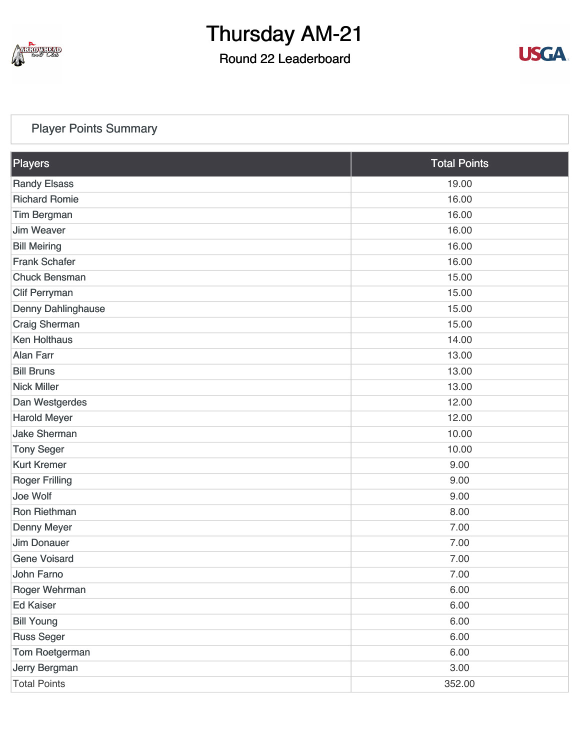

## Round 22 Leaderboard



## [Player Points Summary](https://cdn2.golfgenius.com/v2tournaments/total_points?league_id=7210268354278335855&round_id=7210272986065020334)

| Players               | <b>Total Points</b> |  |
|-----------------------|---------------------|--|
| <b>Randy Elsass</b>   | 19.00               |  |
| <b>Richard Romie</b>  | 16.00               |  |
| <b>Tim Bergman</b>    | 16.00               |  |
| <b>Jim Weaver</b>     | 16.00               |  |
| <b>Bill Meiring</b>   | 16.00               |  |
| <b>Frank Schafer</b>  | 16.00               |  |
| <b>Chuck Bensman</b>  | 15.00               |  |
| <b>Clif Perryman</b>  | 15.00               |  |
| Denny Dahlinghause    | 15.00               |  |
| <b>Craig Sherman</b>  | 15.00               |  |
| <b>Ken Holthaus</b>   | 14.00               |  |
| <b>Alan Farr</b>      | 13.00               |  |
| <b>Bill Bruns</b>     | 13.00               |  |
| <b>Nick Miller</b>    | 13.00               |  |
| Dan Westgerdes        | 12.00               |  |
| <b>Harold Meyer</b>   | 12.00               |  |
| <b>Jake Sherman</b>   | 10.00               |  |
| <b>Tony Seger</b>     | 10.00               |  |
| <b>Kurt Kremer</b>    | 9.00                |  |
| <b>Roger Frilling</b> | 9.00                |  |
| Joe Wolf              | 9.00                |  |
| Ron Riethman          | 8.00                |  |
| <b>Denny Meyer</b>    | 7.00                |  |
| <b>Jim Donauer</b>    | 7.00                |  |
| <b>Gene Voisard</b>   | 7.00                |  |
| John Farno            | 7.00                |  |
| Roger Wehrman         | 6.00                |  |
| <b>Ed Kaiser</b>      | 6.00                |  |
| <b>Bill Young</b>     | 6.00                |  |
| <b>Russ Seger</b>     | 6.00                |  |
| Tom Roetgerman        | 6.00                |  |
| Jerry Bergman         | 3.00                |  |
| <b>Total Points</b>   | 352.00              |  |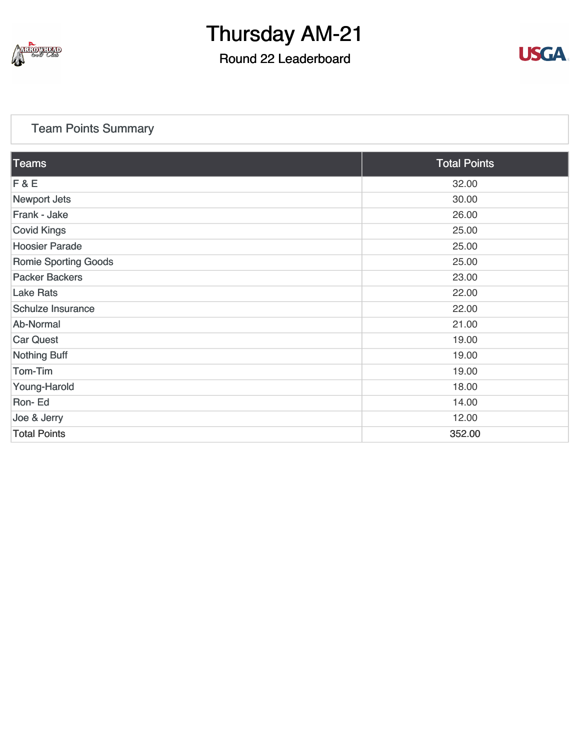

## Round 22 Leaderboard



## [Team Points Summary](https://cdn2.golfgenius.com/v2tournaments/team_points?league_id=7210268354278335855&round_id=7210272986065020334)

| Teams                       | <b>Total Points</b> |
|-----------------------------|---------------------|
| F & E                       | 32.00               |
| <b>Newport Jets</b>         | 30.00               |
| Frank - Jake                | 26.00               |
| <b>Covid Kings</b>          | 25.00               |
| <b>Hoosier Parade</b>       | 25.00               |
| <b>Romie Sporting Goods</b> | 25.00               |
| <b>Packer Backers</b>       | 23.00               |
| <b>Lake Rats</b>            | 22.00               |
| <b>Schulze Insurance</b>    | 22.00               |
| Ab-Normal                   | 21.00               |
| <b>Car Quest</b>            | 19.00               |
| <b>Nothing Buff</b>         | 19.00               |
| Tom-Tim                     | 19.00               |
| Young-Harold                | 18.00               |
| Ron-Ed                      | 14.00               |
| Joe & Jerry                 | 12.00               |
| <b>Total Points</b>         | 352.00              |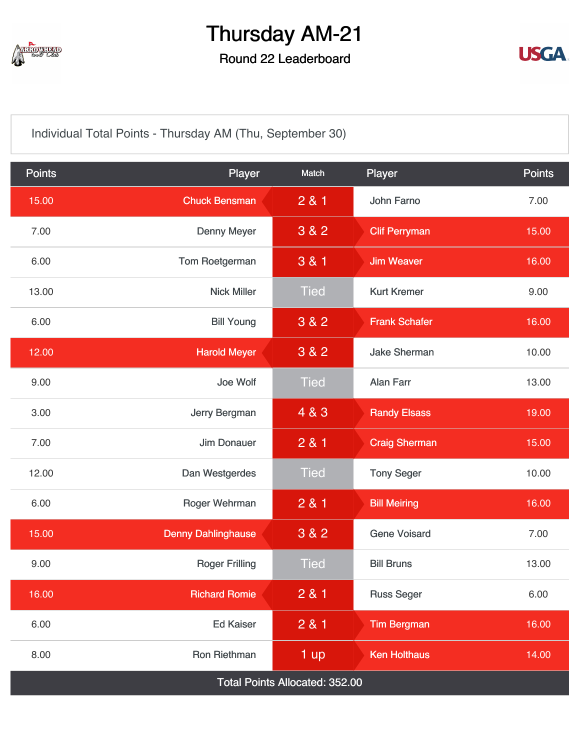

## Round 22 Leaderboard



[Individual Total Points - Thursday AM \(Thu, September 30\)](https://cdn2.golfgenius.com/v2tournaments/7392250812103140533?called_from=&round_index=22)

| <b>Points</b>                         | Player                    | Match       | Player               | <b>Points</b> |  |
|---------------------------------------|---------------------------|-------------|----------------------|---------------|--|
| 15.00                                 | <b>Chuck Bensman</b>      | 281         | John Farno           | 7.00          |  |
| 7.00                                  | <b>Denny Meyer</b>        | 3 & 2       | <b>Clif Perryman</b> | 15.00         |  |
| 6.00                                  | Tom Roetgerman            | 3 & 1       | <b>Jim Weaver</b>    | 16.00         |  |
| 13.00                                 | <b>Nick Miller</b>        | <b>Tied</b> | <b>Kurt Kremer</b>   | 9.00          |  |
| 6.00                                  | <b>Bill Young</b>         | 3 & 2       | <b>Frank Schafer</b> | 16.00         |  |
| 12.00                                 | <b>Harold Meyer</b>       | 3 & 2       | <b>Jake Sherman</b>  | 10.00         |  |
| 9.00                                  | Joe Wolf                  | <b>Tied</b> | <b>Alan Farr</b>     | 13.00         |  |
| 3.00                                  | Jerry Bergman             | 4 & 3       | <b>Randy Elsass</b>  | 19.00         |  |
| 7.00                                  | <b>Jim Donauer</b>        | 281         | <b>Craig Sherman</b> | 15.00         |  |
| 12.00                                 | Dan Westgerdes            | <b>Tied</b> | <b>Tony Seger</b>    | 10.00         |  |
| 6.00                                  | Roger Wehrman             | 281         | <b>Bill Meiring</b>  | 16.00         |  |
| 15.00                                 | <b>Denny Dahlinghause</b> | 3 & 2       | <b>Gene Voisard</b>  | 7.00          |  |
| 9.00                                  | <b>Roger Frilling</b>     | <b>Tied</b> | <b>Bill Bruns</b>    | 13.00         |  |
| 16.00                                 | <b>Richard Romie</b>      | 2 & 1       | <b>Russ Seger</b>    | 6.00          |  |
| 6.00                                  | <b>Ed Kaiser</b>          | 281         | <b>Tim Bergman</b>   | 16.00         |  |
| 8.00                                  | <b>Ron Riethman</b>       | 1 up        | <b>Ken Holthaus</b>  | 14.00         |  |
| <b>Total Points Allocated: 352.00</b> |                           |             |                      |               |  |